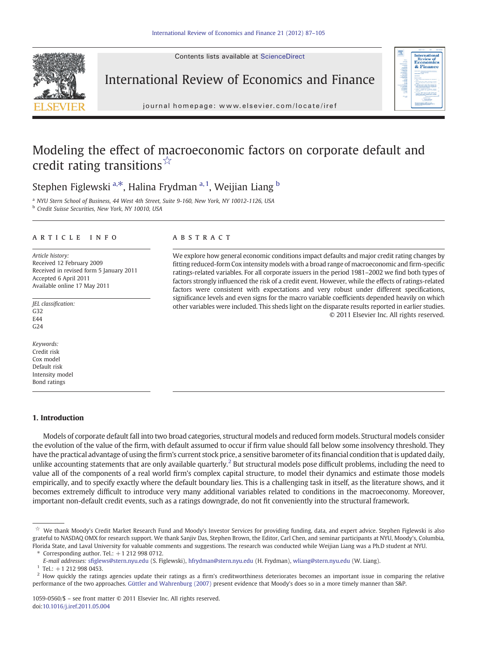Contents lists available at ScienceDirect



International Review of Economics and Finance



j o u r n a l h om e p a g e : www. e l s ev i e r. c om / l o c a t e / i r e f

## Modeling the effect of macroeconomic factors on corporate default and credit rating transitions $\sqrt[x]{x}$

Stephen Figlewski  $a, *$ , Halina Frydman  $a, 1$ , Weijian Liang  $b$ 

<sup>a</sup> NYU Stern School of Business, 44 West 4th Street, Suite 9-160, New York, NY 10012-1126, USA **b** Credit Suisse Securities, New York, NY 10010, USA

#### article info abstract

Article history: Received 12 February 2009 Received in revised form 5 January 2011 Accepted 6 April 2011 Available online 17 May 2011

JEL classification: G32 E44  $C<sub>24</sub>$ 

Keywords: Credit risk Cox model Default risk Intensity model Bond ratings

### 1. Introduction

Models of corporate default fall into two broad categories, structural models and reduced form models. Structural models consider the evolution of the value of the firm, with default assumed to occur if firm value should fall below some insolvency threshold. They have the practical advantage of using the firm's current stock price, a sensitive barometer of its financial condition that is updated daily, unlike accounting statements that are only available quarterly.<sup>2</sup> But structural models pose difficult problems, including the need to value all of the components of a real world firm's complex capital structure, to model their dynamics and estimate those models empirically, and to specify exactly where the default boundary lies. This is a challenging task in itself, as the literature shows, and it becomes extremely difficult to introduce very many additional variables related to conditions in the macroeconomy. Moreover, important non-default credit events, such as a ratings downgrade, do not fit conveniently into the structural framework.

Corresponding author. Tel.:  $+1$  212 998 0712.

We explore how general economic conditions impact defaults and major credit rating changes by fitting reduced-form Cox intensity models with a broad range of macroeconomic and firm-specific ratings-related variables. For all corporate issuers in the period 1981–2002 we find both types of factors strongly influenced the risk of a credit event. However, while the effects of ratings-related factors were consistent with expectations and very robust under different specifications, significance levels and even signs for the macro variable coefficients depended heavily on which other variables were included. This sheds light on the disparate results reported in earlier studies. © 2011 Elsevier Inc. All rights reserved.

<sup>☆</sup> We thank Moody's Credit Market Research Fund and Moody's Investor Services for providing funding, data, and expert advice. Stephen Figlewski is also grateful to NASDAQ OMX for research support. We thank Sanjiv Das, Stephen Brown, the Editor, Carl Chen, and seminar participants at NYU, Moody's, Columbia, Florida State, and Laval University for valuable comments and suggestions. The research was conducted while Weijian Liang was a Ph.D student at NYU.

E-mail addresses: sfi[glews@stern.nyu.edu](mailto:sfiglews@stern.nyu.edu) (S. Figlewski), [hfrydman@stern.nyu.edu](mailto:hfrydman@stern.nyu.edu) (H. Frydman), [wliang@stern.nyu.edu](mailto:wliang@stern.nyu.edu) (W. Liang).

 $1$  Tel.: +1 212 998 0453.

 $2$  How quickly the ratings agencies update their ratings as a firm's creditworthiness deteriorates becomes an important issue in comparing the relative performance of the two approaches. [Güttler and Wahrenburg \(2007\)](#page--1-0) present evidence that Moody's does so in a more timely manner than S&P.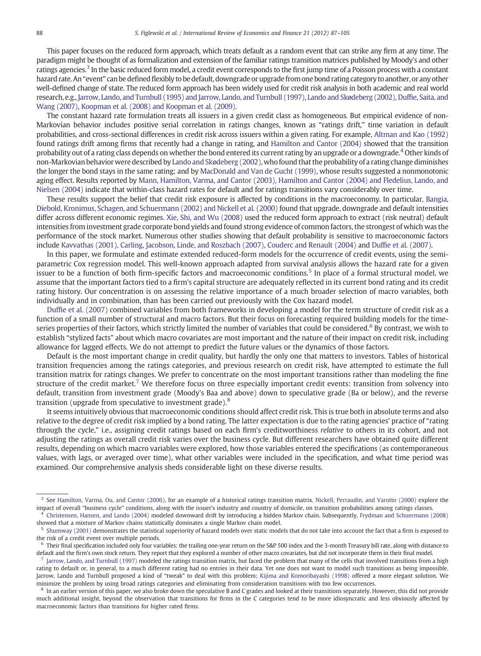This paper focuses on the reduced form approach, which treats default as a random event that can strike any firm at any time. The paradigm might be thought of as formalization and extension of the familiar ratings transition matrices published by Moody's and other ratings agencies.<sup>3</sup> In the basic reduced form model, a credit event corresponds to the first jump time of a Poisson process with a constant hazard rate. An "event" can be defined flexibly to be default, downgrade or upgrade from one bond rating category to another, or any other well-defined change of state. The reduced form approach has been widely used for credit risk analysis in both academic and real world research, e.g., [Jarrow, Lando, and Turnbull \(1995\) and Jarrow, Lando, and Turnbull \(1997\), Lando and Skødeberg \(2002\), Duf](#page--1-0)fie, Saita, and [Wang \(2007\)](#page--1-0), [Koopman et al. \(2008\) and Koopman et al. \(2009\)](#page--1-0).

The constant hazard rate formulation treats all issuers in a given credit class as homogeneous. But empirical evidence of non-Markovian behavior includes positive serial correlation in ratings changes, known as "ratings drift," time variation in default probabilities, and cross-sectional differences in credit risk across issuers within a given rating. For example, [Altman and Kao \(1992\)](#page--1-0) found ratings drift among firms that recently had a change in rating, and [Hamilton and Cantor \(2004\)](#page--1-0) showed that the transition probability out of a rating class depends on whether the bond entered its current rating by an upgrade or a downgrade.<sup>4</sup> Other kinds of non-Markovian behavior were described by [Lando and Skødeberg \(2002\)](#page--1-0), who found that the probability of a rating change diminishes the longer the bond stays in the same rating; and by [MacDonald and Van de Gucht \(1999\),](#page--1-0) whose results suggested a nonmonotonic aging effect. Results reported by [Mann, Hamilton, Varma, and Cantor \(2003\), Hamilton and Cantor \(2004\) and Fledelius, Lando, and](#page--1-0) [Nielsen \(2004\)](#page--1-0) indicate that within-class hazard rates for default and for ratings transitions vary considerably over time.

These results support the belief that credit risk exposure is affected by conditions in the macroeconomy. In particular, [Bangia,](#page--1-0) [Diebold, Kronimus, Schagen, and Schuermann \(2002\) and Nickell et al. \(2000\)](#page--1-0) found that upgrade, downgrade and default intensities differ across different economic regimes. [Xie, Shi, and Wu \(2008\)](#page--1-0) used the reduced form approach to extract (risk neutral) default intensities from investment grade corporate bond yields and found strong evidence of common factors, the strongest of which was the performance of the stock market. Numerous other studies showing that default probability is sensitive to macroeconomic factors include [Kavvathas \(2001\), Carling, Jacobson, Linde, and Roszbach \(2007\),](#page--1-0) [Couderc and Renault \(2004\)](#page--1-0) and Duffi[e et al. \(2007\)](#page--1-0).

In this paper, we formulate and estimate extended reduced-form models for the occurrence of credit events, using the semiparametric Cox regression model. This well-known approach adapted from survival analysis allows the hazard rate for a given issuer to be a function of both firm-specific factors and macroeconomic conditions.<sup>5</sup> In place of a formal structural model, we assume that the important factors tied to a firm's capital structure are adequately reflected in its current bond rating and its credit rating history. Our concentration is on assessing the relative importance of a much broader selection of macro variables, both individually and in combination, than has been carried out previously with the Cox hazard model.

Duffi[e et al. \(2007\)](#page--1-0) combined variables from both frameworks in developing a model for the term structure of credit risk as a function of a small number of structural and macro factors. But their focus on forecasting required building models for the timeseries properties of their factors, which strictly limited the number of variables that could be considered.<sup>6</sup> By contrast, we wish to establish "stylized facts" about which macro covariates are most important and the nature of their impact on credit risk, including allowance for lagged effects. We do not attempt to predict the future values or the dynamics of those factors.

Default is the most important change in credit quality, but hardly the only one that matters to investors. Tables of historical transition frequencies among the ratings categories, and previous research on credit risk, have attempted to estimate the full transition matrix for ratings changes. We prefer to concentrate on the most important transitions rather than modeling the fine structure of the credit market.<sup>7</sup> We therefore focus on three especially important credit events: transition from solvency into default, transition from investment grade (Moody's Baa and above) down to speculative grade (Ba or below), and the reverse transition (upgrade from speculative to investment grade).<sup>8</sup>

It seems intuitively obvious that macroeconomic conditions should affect credit risk. This is true both in absolute terms and also relative to the degree of credit risk implied by a bond rating. The latter expectation is due to the rating agencies' practice of "rating through the cycle," i.e., assigning credit ratings based on each firm's creditworthiness relative to others in its cohort, and not adjusting the ratings as overall credit risk varies over the business cycle. But different researchers have obtained quite different results, depending on which macro variables were explored, how those variables entered the specifications (as contemporaneous values, with lags, or averaged over time), what other variables were included in the specification, and what time period was examined. Our comprehensive analysis sheds considerable light on these diverse results.

<sup>4</sup> [Christensen, Hansen, and Lando \(2004\)](#page--1-0) modeled downward drift by introducing a hidden Markov chain. Subsequently, [Frydman and Schuermann \(2008\)](#page--1-0) showed that a mixture of Markov chains statistically dominates a single Markov chain model.

<sup>&</sup>lt;sup>3</sup> See [Hamilton, Varma, Ou, and Cantor \(2006\),](#page--1-0) for an example of a historical ratings transition matrix. [Nickell, Perraudin, and Varotto \(2000\)](#page--1-0) explore the impact of overall "business cycle" conditions, along with the issuer's industry and country of domicile, on transition probabilities among ratings classes.

<sup>&</sup>lt;sup>5</sup> [Shumway \(2001\)](#page--1-0) demonstrates the statistical superiority of hazard models over static models that do not take into account the fact that a firm is exposed to the risk of a credit event over multiple periods.

 $6$  Their final specification included only four variables: the trailing one-year return on the S&P 500 index and the 3-month Treasury bill rate, along with distance to default and the firm's own stock return. They report that they explored a number of other macro covariates, but did not incorporate them in their final model.

[Jarrow, Lando, and Turnbull \(1997\)](#page--1-0) modeled the ratings transition matrix, but faced the problem that many of the cells that involved transitions from a high rating to default or, in general, to a much different rating had no entries in their data. Yet one does not want to model such transitions as being impossible. Jarrow, Lando and Turnbull proposed a kind of "tweak" to deal with this problem; [Kijima and Komoribayashi \(1998\)](#page--1-0) offered a more elegant solution. We minimize the problem by using broad ratings categories and eliminating from consideration transitions with too few occurrences.

<sup>&</sup>lt;sup>8</sup> In an earlier version of this paper, we also broke down the speculative B and C grades and looked at their transitions separately. However, this did not provide much additional insight, beyond the observation that transitions for firms in the C categories tend to be more idiosyncratic and less obviously affected by macroeconomic factors than transitions for higher rated firms.